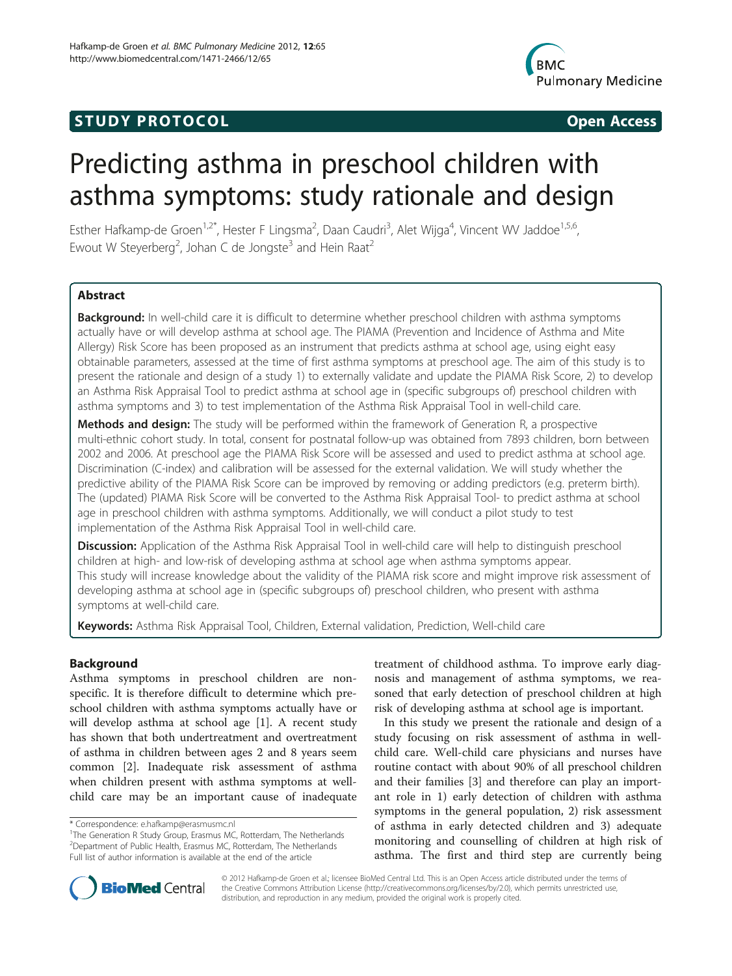# **STUDY PROTOCOL CONSUMING THE CONSUMING OPEN ACCESS**



# Predicting asthma in preschool children with asthma symptoms: study rationale and design

Esther Hafkamp-de Groen<sup>1,2\*</sup>, Hester F Lingsma<sup>2</sup>, Daan Caudri<sup>3</sup>, Alet Wijga<sup>4</sup>, Vincent WV Jaddoe<sup>1,5,6</sup>, Ewout W Steyerberg<sup>2</sup>, Johan C de Jongste<sup>3</sup> and Hein Raat<sup>2</sup>

# **Abstract**

Background: In well-child care it is difficult to determine whether preschool children with asthma symptoms actually have or will develop asthma at school age. The PIAMA (Prevention and Incidence of Asthma and Mite Allergy) Risk Score has been proposed as an instrument that predicts asthma at school age, using eight easy obtainable parameters, assessed at the time of first asthma symptoms at preschool age. The aim of this study is to present the rationale and design of a study 1) to externally validate and update the PIAMA Risk Score, 2) to develop an Asthma Risk Appraisal Tool to predict asthma at school age in (specific subgroups of) preschool children with asthma symptoms and 3) to test implementation of the Asthma Risk Appraisal Tool in well-child care.

Methods and design: The study will be performed within the framework of Generation R, a prospective multi-ethnic cohort study. In total, consent for postnatal follow-up was obtained from 7893 children, born between 2002 and 2006. At preschool age the PIAMA Risk Score will be assessed and used to predict asthma at school age. Discrimination (C-index) and calibration will be assessed for the external validation. We will study whether the predictive ability of the PIAMA Risk Score can be improved by removing or adding predictors (e.g. preterm birth). The (updated) PIAMA Risk Score will be converted to the Asthma Risk Appraisal Tool- to predict asthma at school age in preschool children with asthma symptoms. Additionally, we will conduct a pilot study to test implementation of the Asthma Risk Appraisal Tool in well-child care.

Discussion: Application of the Asthma Risk Appraisal Tool in well-child care will help to distinguish preschool children at high- and low-risk of developing asthma at school age when asthma symptoms appear. This study will increase knowledge about the validity of the PIAMA risk score and might improve risk assessment of developing asthma at school age in (specific subgroups of) preschool children, who present with asthma symptoms at well-child care.

Keywords: Asthma Risk Appraisal Tool, Children, External validation, Prediction, Well-child care

# Background

Asthma symptoms in preschool children are nonspecific. It is therefore difficult to determine which preschool children with asthma symptoms actually have or will develop asthma at school age [\[1](#page-4-0)]. A recent study has shown that both undertreatment and overtreatment of asthma in children between ages 2 and 8 years seem common [\[2](#page-4-0)]. Inadequate risk assessment of asthma when children present with asthma symptoms at wellchild care may be an important cause of inadequate

treatment of childhood asthma. To improve early diagnosis and management of asthma symptoms, we reasoned that early detection of preschool children at high risk of developing asthma at school age is important.

In this study we present the rationale and design of a study focusing on risk assessment of asthma in wellchild care. Well-child care physicians and nurses have routine contact with about 90% of all preschool children and their families [\[3](#page-4-0)] and therefore can play an important role in 1) early detection of children with asthma symptoms in the general population, 2) risk assessment of asthma in early detected children and 3) adequate monitoring and counselling of children at high risk of asthma. The first and third step are currently being



© 2012 Hafkamp-de Groen et al.; licensee BioMed Central Ltd. This is an Open Access article distributed under the terms of the Creative Commons Attribution License [\(http://creativecommons.org/licenses/by/2.0\)](http://creativecommons.org/licenses/by/2.0), which permits unrestricted use, distribution, and reproduction in any medium, provided the original work is properly cited.

<sup>\*</sup> Correspondence: [e.hafkamp@erasmusmc.nl](mailto:e.hafkamp@erasmusmc.nl) <sup>1</sup>

<sup>&</sup>lt;sup>1</sup>The Generation R Study Group, Erasmus MC, Rotterdam, The Netherlands <sup>2</sup>Department of Public Health, Erasmus MC, Rotterdam, The Netherlands Full list of author information is available at the end of the article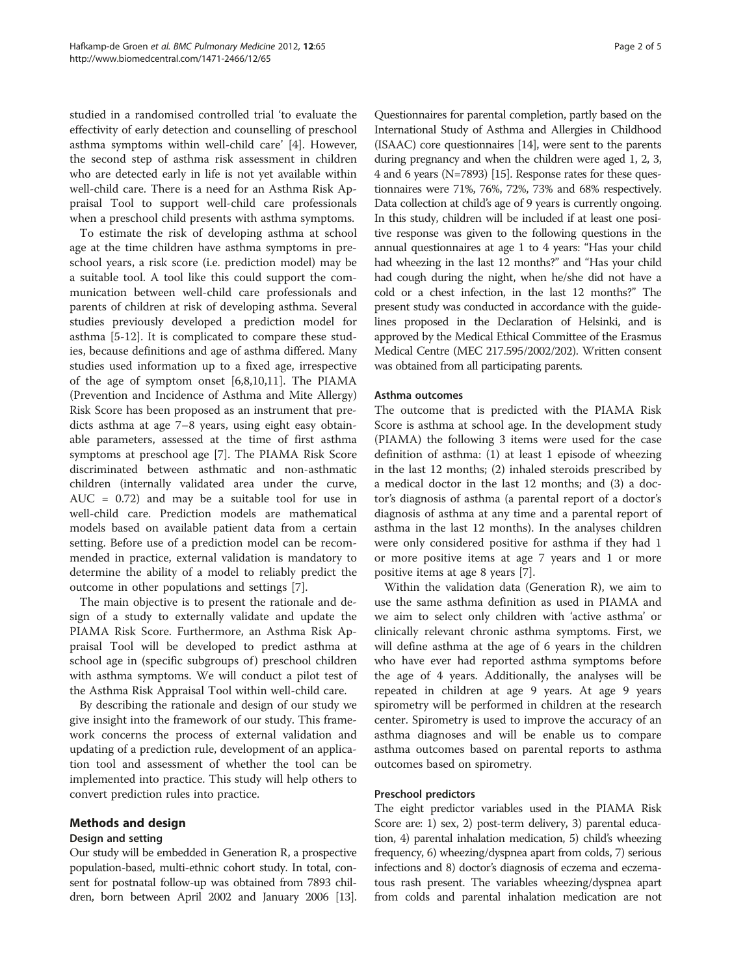studied in a randomised controlled trial 'to evaluate the effectivity of early detection and counselling of preschool asthma symptoms within well-child care' [[4\]](#page-4-0). However, the second step of asthma risk assessment in children who are detected early in life is not yet available within well-child care. There is a need for an Asthma Risk Appraisal Tool to support well-child care professionals when a preschool child presents with asthma symptoms.

To estimate the risk of developing asthma at school age at the time children have asthma symptoms in preschool years, a risk score (i.e. prediction model) may be a suitable tool. A tool like this could support the communication between well-child care professionals and parents of children at risk of developing asthma. Several studies previously developed a prediction model for asthma [[5-12](#page-4-0)]. It is complicated to compare these studies, because definitions and age of asthma differed. Many studies used information up to a fixed age, irrespective of the age of symptom onset [\[6,8,10,11](#page-4-0)]. The PIAMA (Prevention and Incidence of Asthma and Mite Allergy) Risk Score has been proposed as an instrument that predicts asthma at age 7–8 years, using eight easy obtainable parameters, assessed at the time of first asthma symptoms at preschool age [\[7](#page-4-0)]. The PIAMA Risk Score discriminated between asthmatic and non-asthmatic children (internally validated area under the curve, AUC = 0.72) and may be a suitable tool for use in well-child care. Prediction models are mathematical models based on available patient data from a certain setting. Before use of a prediction model can be recommended in practice, external validation is mandatory to determine the ability of a model to reliably predict the outcome in other populations and settings [\[7](#page-4-0)].

The main objective is to present the rationale and design of a study to externally validate and update the PIAMA Risk Score. Furthermore, an Asthma Risk Appraisal Tool will be developed to predict asthma at school age in (specific subgroups of) preschool children with asthma symptoms. We will conduct a pilot test of the Asthma Risk Appraisal Tool within well-child care.

By describing the rationale and design of our study we give insight into the framework of our study. This framework concerns the process of external validation and updating of a prediction rule, development of an application tool and assessment of whether the tool can be implemented into practice. This study will help others to convert prediction rules into practice.

# Methods and design

# Design and setting

Our study will be embedded in Generation R, a prospective population-based, multi-ethnic cohort study. In total, consent for postnatal follow-up was obtained from 7893 children, born between April 2002 and January 2006 [\[13](#page-4-0)].

Questionnaires for parental completion, partly based on the International Study of Asthma and Allergies in Childhood (ISAAC) core questionnaires [\[14\]](#page-4-0), were sent to the parents during pregnancy and when the children were aged 1, 2, 3, 4 and 6 years (N=7893) [[15](#page-4-0)]. Response rates for these questionnaires were 71%, 76%, 72%, 73% and 68% respectively. Data collection at child's age of 9 years is currently ongoing. In this study, children will be included if at least one positive response was given to the following questions in the annual questionnaires at age 1 to 4 years: "Has your child had wheezing in the last 12 months?" and "Has your child had cough during the night, when he/she did not have a cold or a chest infection, in the last 12 months?" The present study was conducted in accordance with the guidelines proposed in the Declaration of Helsinki, and is approved by the Medical Ethical Committee of the Erasmus Medical Centre (MEC 217.595/2002/202). Written consent was obtained from all participating parents.

# Asthma outcomes

The outcome that is predicted with the PIAMA Risk Score is asthma at school age. In the development study (PIAMA) the following 3 items were used for the case definition of asthma: (1) at least 1 episode of wheezing in the last 12 months; (2) inhaled steroids prescribed by a medical doctor in the last 12 months; and (3) a doctor's diagnosis of asthma (a parental report of a doctor's diagnosis of asthma at any time and a parental report of asthma in the last 12 months). In the analyses children were only considered positive for asthma if they had 1 or more positive items at age 7 years and 1 or more positive items at age 8 years [[7](#page-4-0)].

Within the validation data (Generation R), we aim to use the same asthma definition as used in PIAMA and we aim to select only children with 'active asthma' or clinically relevant chronic asthma symptoms. First, we will define asthma at the age of 6 years in the children who have ever had reported asthma symptoms before the age of 4 years. Additionally, the analyses will be repeated in children at age 9 years. At age 9 years spirometry will be performed in children at the research center. Spirometry is used to improve the accuracy of an asthma diagnoses and will be enable us to compare asthma outcomes based on parental reports to asthma outcomes based on spirometry.

# Preschool predictors

The eight predictor variables used in the PIAMA Risk Score are: 1) sex, 2) post-term delivery, 3) parental education, 4) parental inhalation medication, 5) child's wheezing frequency, 6) wheezing/dyspnea apart from colds, 7) serious infections and 8) doctor's diagnosis of eczema and eczematous rash present. The variables wheezing/dyspnea apart from colds and parental inhalation medication are not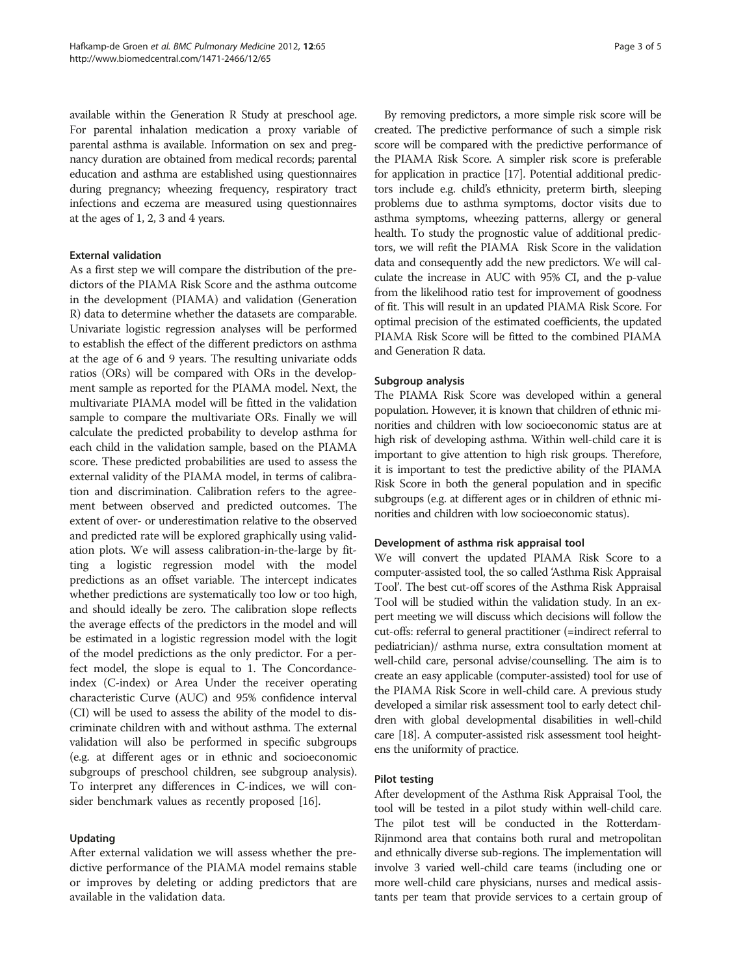available within the Generation R Study at preschool age. For parental inhalation medication a proxy variable of parental asthma is available. Information on sex and pregnancy duration are obtained from medical records; parental education and asthma are established using questionnaires during pregnancy; wheezing frequency, respiratory tract infections and eczema are measured using questionnaires at the ages of 1, 2, 3 and 4 years.

# External validation

As a first step we will compare the distribution of the predictors of the PIAMA Risk Score and the asthma outcome in the development (PIAMA) and validation (Generation R) data to determine whether the datasets are comparable. Univariate logistic regression analyses will be performed to establish the effect of the different predictors on asthma at the age of 6 and 9 years. The resulting univariate odds ratios (ORs) will be compared with ORs in the development sample as reported for the PIAMA model. Next, the multivariate PIAMA model will be fitted in the validation sample to compare the multivariate ORs. Finally we will calculate the predicted probability to develop asthma for each child in the validation sample, based on the PIAMA score. These predicted probabilities are used to assess the external validity of the PIAMA model, in terms of calibration and discrimination. Calibration refers to the agreement between observed and predicted outcomes. The extent of over- or underestimation relative to the observed and predicted rate will be explored graphically using validation plots. We will assess calibration-in-the-large by fitting a logistic regression model with the model predictions as an offset variable. The intercept indicates whether predictions are systematically too low or too high, and should ideally be zero. The calibration slope reflects the average effects of the predictors in the model and will be estimated in a logistic regression model with the logit of the model predictions as the only predictor. For a perfect model, the slope is equal to 1. The Concordanceindex (C-index) or Area Under the receiver operating characteristic Curve (AUC) and 95% confidence interval (CI) will be used to assess the ability of the model to discriminate children with and without asthma. The external validation will also be performed in specific subgroups (e.g. at different ages or in ethnic and socioeconomic subgroups of preschool children, see subgroup analysis). To interpret any differences in C-indices, we will consider benchmark values as recently proposed [\[16\]](#page-4-0).

#### Updating

After external validation we will assess whether the predictive performance of the PIAMA model remains stable or improves by deleting or adding predictors that are available in the validation data.

By removing predictors, a more simple risk score will be created. The predictive performance of such a simple risk score will be compared with the predictive performance of the PIAMA Risk Score. A simpler risk score is preferable for application in practice [\[17\]](#page-4-0). Potential additional predictors include e.g. child's ethnicity, preterm birth, sleeping problems due to asthma symptoms, doctor visits due to asthma symptoms, wheezing patterns, allergy or general health. To study the prognostic value of additional predictors, we will refit the PIAMA Risk Score in the validation data and consequently add the new predictors. We will calculate the increase in AUC with 95% CI, and the p-value from the likelihood ratio test for improvement of goodness of fit. This will result in an updated PIAMA Risk Score. For optimal precision of the estimated coefficients, the updated PIAMA Risk Score will be fitted to the combined PIAMA and Generation R data.

# Subgroup analysis

The PIAMA Risk Score was developed within a general population. However, it is known that children of ethnic minorities and children with low socioeconomic status are at high risk of developing asthma. Within well-child care it is important to give attention to high risk groups. Therefore, it is important to test the predictive ability of the PIAMA Risk Score in both the general population and in specific subgroups (e.g. at different ages or in children of ethnic minorities and children with low socioeconomic status).

#### Development of asthma risk appraisal tool

We will convert the updated PIAMA Risk Score to a computer-assisted tool, the so called 'Asthma Risk Appraisal Tool'. The best cut-off scores of the Asthma Risk Appraisal Tool will be studied within the validation study. In an expert meeting we will discuss which decisions will follow the cut-offs: referral to general practitioner (=indirect referral to pediatrician)/ asthma nurse, extra consultation moment at well-child care, personal advise/counselling. The aim is to create an easy applicable (computer-assisted) tool for use of the PIAMA Risk Score in well-child care. A previous study developed a similar risk assessment tool to early detect children with global developmental disabilities in well-child care [\[18](#page-4-0)]. A computer-assisted risk assessment tool heightens the uniformity of practice.

#### Pilot testing

After development of the Asthma Risk Appraisal Tool, the tool will be tested in a pilot study within well-child care. The pilot test will be conducted in the Rotterdam-Rijnmond area that contains both rural and metropolitan and ethnically diverse sub-regions. The implementation will involve 3 varied well-child care teams (including one or more well-child care physicians, nurses and medical assistants per team that provide services to a certain group of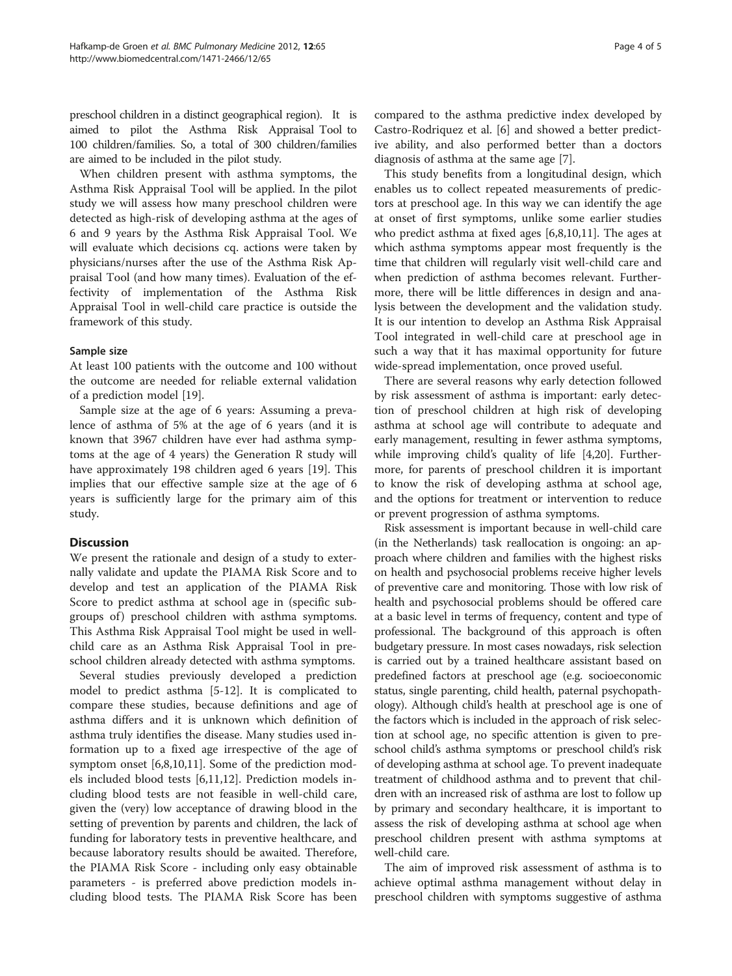preschool children in a distinct geographical region). It is aimed to pilot the Asthma Risk Appraisal Tool to 100 children/families. So, a total of 300 children/families are aimed to be included in the pilot study.

When children present with asthma symptoms, the Asthma Risk Appraisal Tool will be applied. In the pilot study we will assess how many preschool children were detected as high-risk of developing asthma at the ages of 6 and 9 years by the Asthma Risk Appraisal Tool. We will evaluate which decisions cq. actions were taken by physicians/nurses after the use of the Asthma Risk Appraisal Tool (and how many times). Evaluation of the effectivity of implementation of the Asthma Risk Appraisal Tool in well-child care practice is outside the framework of this study.

#### Sample size

At least 100 patients with the outcome and 100 without the outcome are needed for reliable external validation of a prediction model [\[19\]](#page-4-0).

Sample size at the age of 6 years: Assuming a prevalence of asthma of 5% at the age of 6 years (and it is known that 3967 children have ever had asthma symptoms at the age of 4 years) the Generation R study will have approximately 198 children aged 6 years [[19\]](#page-4-0). This implies that our effective sample size at the age of 6 years is sufficiently large for the primary aim of this study.

#### **Discussion**

We present the rationale and design of a study to externally validate and update the PIAMA Risk Score and to develop and test an application of the PIAMA Risk Score to predict asthma at school age in (specific subgroups of) preschool children with asthma symptoms. This Asthma Risk Appraisal Tool might be used in wellchild care as an Asthma Risk Appraisal Tool in preschool children already detected with asthma symptoms.

Several studies previously developed a prediction model to predict asthma [[5-12](#page-4-0)]. It is complicated to compare these studies, because definitions and age of asthma differs and it is unknown which definition of asthma truly identifies the disease. Many studies used information up to a fixed age irrespective of the age of symptom onset [\[6,8,10,11\]](#page-4-0). Some of the prediction models included blood tests [\[6,11,12](#page-4-0)]. Prediction models including blood tests are not feasible in well-child care, given the (very) low acceptance of drawing blood in the setting of prevention by parents and children, the lack of funding for laboratory tests in preventive healthcare, and because laboratory results should be awaited. Therefore, the PIAMA Risk Score - including only easy obtainable parameters - is preferred above prediction models including blood tests. The PIAMA Risk Score has been compared to the asthma predictive index developed by Castro-Rodriquez et al. [\[6](#page-4-0)] and showed a better predictive ability, and also performed better than a doctors diagnosis of asthma at the same age [\[7\]](#page-4-0).

This study benefits from a longitudinal design, which enables us to collect repeated measurements of predictors at preschool age. In this way we can identify the age at onset of first symptoms, unlike some earlier studies who predict asthma at fixed ages [[6,8,10,11\]](#page-4-0). The ages at which asthma symptoms appear most frequently is the time that children will regularly visit well-child care and when prediction of asthma becomes relevant. Furthermore, there will be little differences in design and analysis between the development and the validation study. It is our intention to develop an Asthma Risk Appraisal Tool integrated in well-child care at preschool age in such a way that it has maximal opportunity for future wide-spread implementation, once proved useful.

There are several reasons why early detection followed by risk assessment of asthma is important: early detection of preschool children at high risk of developing asthma at school age will contribute to adequate and early management, resulting in fewer asthma symptoms, while improving child's quality of life [[4,20\]](#page-4-0). Furthermore, for parents of preschool children it is important to know the risk of developing asthma at school age, and the options for treatment or intervention to reduce or prevent progression of asthma symptoms.

Risk assessment is important because in well-child care (in the Netherlands) task reallocation is ongoing: an approach where children and families with the highest risks on health and psychosocial problems receive higher levels of preventive care and monitoring. Those with low risk of health and psychosocial problems should be offered care at a basic level in terms of frequency, content and type of professional. The background of this approach is often budgetary pressure. In most cases nowadays, risk selection is carried out by a trained healthcare assistant based on predefined factors at preschool age (e.g. socioeconomic status, single parenting, child health, paternal psychopathology). Although child's health at preschool age is one of the factors which is included in the approach of risk selection at school age, no specific attention is given to preschool child's asthma symptoms or preschool child's risk of developing asthma at school age. To prevent inadequate treatment of childhood asthma and to prevent that children with an increased risk of asthma are lost to follow up by primary and secondary healthcare, it is important to assess the risk of developing asthma at school age when preschool children present with asthma symptoms at well-child care.

The aim of improved risk assessment of asthma is to achieve optimal asthma management without delay in preschool children with symptoms suggestive of asthma